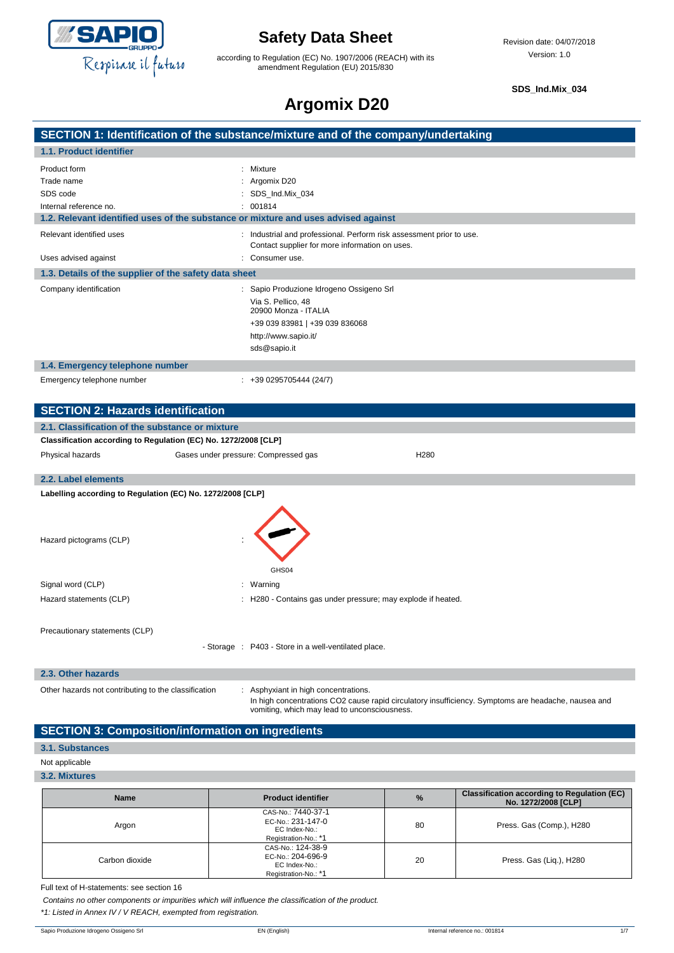

according to Regulation (EC) No. 1907/2006 (REACH) with its amendment Regulation (EU) 2015/830

**SDS\_Ind.Mix\_034**

# **Argomix D20**

| والمتحدث والمتقولة والمستول ويستحير ويستحدث والمستحدث والقارنة والمسالة |  |
|-------------------------------------------------------------------------|--|
|                                                                         |  |
|                                                                         |  |
|                                                                         |  |

|                                                                                    | SECTION 1: Identification of the substance/mixture and of the company/undertaking                                                                   |
|------------------------------------------------------------------------------------|-----------------------------------------------------------------------------------------------------------------------------------------------------|
| 1.1. Product identifier                                                            |                                                                                                                                                     |
| Product form                                                                       | : Mixture                                                                                                                                           |
| Trade name                                                                         | Argomix D20                                                                                                                                         |
| SDS code                                                                           | : SDS_Ind.Mix_034                                                                                                                                   |
| Internal reference no.                                                             | 001814                                                                                                                                              |
| 1.2. Relevant identified uses of the substance or mixture and uses advised against |                                                                                                                                                     |
| Relevant identified uses                                                           | : Industrial and professional. Perform risk assessment prior to use.<br>Contact supplier for more information on uses.                              |
| Uses advised against                                                               | Consumer use.                                                                                                                                       |
| 1.3. Details of the supplier of the safety data sheet                              |                                                                                                                                                     |
| Company identification                                                             | : Sapio Produzione Idrogeno Ossigeno Srl                                                                                                            |
|                                                                                    | Via S. Pellico, 48<br>20900 Monza - ITALIA                                                                                                          |
|                                                                                    | +39 039 83981   +39 039 836068                                                                                                                      |
|                                                                                    | http://www.sapio.it/                                                                                                                                |
|                                                                                    | sds@sapio.it                                                                                                                                        |
| 1.4. Emergency telephone number                                                    |                                                                                                                                                     |
| Emergency telephone number                                                         | $: +390295705444(24/7)$                                                                                                                             |
|                                                                                    |                                                                                                                                                     |
| <b>SECTION 2: Hazards identification</b>                                           |                                                                                                                                                     |
| 2.1. Classification of the substance or mixture                                    |                                                                                                                                                     |
| Classification according to Regulation (EC) No. 1272/2008 [CLP]                    |                                                                                                                                                     |
| Physical hazards                                                                   | Gases under pressure: Compressed gas<br>H280                                                                                                        |
|                                                                                    |                                                                                                                                                     |
| 2.2. Label elements                                                                |                                                                                                                                                     |
| Labelling according to Regulation (EC) No. 1272/2008 [CLP]                         |                                                                                                                                                     |
|                                                                                    |                                                                                                                                                     |
|                                                                                    |                                                                                                                                                     |
| Hazard pictograms (CLP)                                                            |                                                                                                                                                     |
|                                                                                    |                                                                                                                                                     |
|                                                                                    | GHS04                                                                                                                                               |
| Signal word (CLP)                                                                  | : Warning                                                                                                                                           |
| Hazard statements (CLP)                                                            | : H280 - Contains gas under pressure; may explode if heated.                                                                                        |
|                                                                                    |                                                                                                                                                     |
| Precautionary statements (CLP)                                                     |                                                                                                                                                     |
|                                                                                    | - Storage : P403 - Store in a well-ventilated place.                                                                                                |
|                                                                                    |                                                                                                                                                     |
| 2.3. Other hazards                                                                 |                                                                                                                                                     |
| Other hazards not contributing to the classification                               | : Asphyxiant in high concentrations.                                                                                                                |
|                                                                                    | In high concentrations CO2 cause rapid circulatory insufficiency. Symptoms are headache, nausea and<br>vomiting, which may lead to unconsciousness. |

### **SECTION 3: Composition/information on ingredients**

### **3.1. Substances**

### Not applicable

**3.2. Mixtures**

| <b>Name</b>    | <b>Product identifier</b>                                                        | $\%$ | <b>Classification according to Regulation (EC)</b><br>No. 1272/2008 [CLP] |
|----------------|----------------------------------------------------------------------------------|------|---------------------------------------------------------------------------|
| Argon          | CAS-No.: 7440-37-1<br>EC-No.: 231-147-0<br>EC Index-No.:<br>Registration-No.: *1 | 80   | Press. Gas (Comp.), H280                                                  |
| Carbon dioxide | CAS-No.: 124-38-9<br>EC-No.: 204-696-9<br>EC Index-No.:<br>Registration-No.: *1  | 20   | Press. Gas (Lig.), H280                                                   |

Full text of H-statements: see section 16

*Contains no other components or impurities which will influence the classification of the product.*

*\*1: Listed in Annex IV / V REACH, exempted from registration.*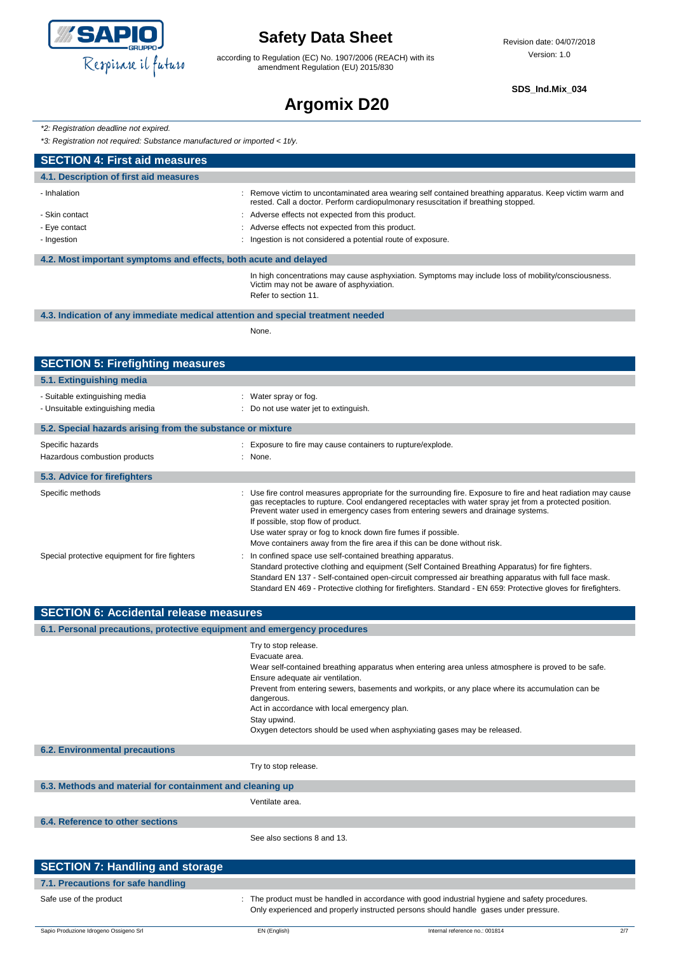

according to Regulation (EC) No. 1907/2006 (REACH) with its amendment Regulation (EU) 2015/830

**SDS\_Ind.Mix\_034**

# **Argomix D20**

*\*2: Registration deadline not expired.*

*\*3: Registration not required: Substance manufactured or imported < 1t/y.*

| gionanon'non'oganoa. Gabolanoo manafaolanoa of impontoa                         |                                                                                                                                                                                                                                                                                                                                                                                                                                                                                                                                                                                                                                                                                                                                                                              |
|---------------------------------------------------------------------------------|------------------------------------------------------------------------------------------------------------------------------------------------------------------------------------------------------------------------------------------------------------------------------------------------------------------------------------------------------------------------------------------------------------------------------------------------------------------------------------------------------------------------------------------------------------------------------------------------------------------------------------------------------------------------------------------------------------------------------------------------------------------------------|
| <b>SECTION 4: First aid measures</b>                                            |                                                                                                                                                                                                                                                                                                                                                                                                                                                                                                                                                                                                                                                                                                                                                                              |
| 4.1. Description of first aid measures                                          |                                                                                                                                                                                                                                                                                                                                                                                                                                                                                                                                                                                                                                                                                                                                                                              |
| - Inhalation                                                                    | Remove victim to uncontaminated area wearing self contained breathing apparatus. Keep victim warm and<br>rested. Call a doctor. Perform cardiopulmonary resuscitation if breathing stopped.                                                                                                                                                                                                                                                                                                                                                                                                                                                                                                                                                                                  |
| - Skin contact                                                                  | : Adverse effects not expected from this product.                                                                                                                                                                                                                                                                                                                                                                                                                                                                                                                                                                                                                                                                                                                            |
| - Eye contact                                                                   | Adverse effects not expected from this product.                                                                                                                                                                                                                                                                                                                                                                                                                                                                                                                                                                                                                                                                                                                              |
| - Ingestion                                                                     | Ingestion is not considered a potential route of exposure.                                                                                                                                                                                                                                                                                                                                                                                                                                                                                                                                                                                                                                                                                                                   |
| 4.2. Most important symptoms and effects, both acute and delayed                |                                                                                                                                                                                                                                                                                                                                                                                                                                                                                                                                                                                                                                                                                                                                                                              |
|                                                                                 | In high concentrations may cause asphyxiation. Symptoms may include loss of mobility/consciousness.<br>Victim may not be aware of asphyxiation.<br>Refer to section 11.                                                                                                                                                                                                                                                                                                                                                                                                                                                                                                                                                                                                      |
| 4.3. Indication of any immediate medical attention and special treatment needed | None.                                                                                                                                                                                                                                                                                                                                                                                                                                                                                                                                                                                                                                                                                                                                                                        |
| <b>SECTION 5: Firefighting measures</b>                                         |                                                                                                                                                                                                                                                                                                                                                                                                                                                                                                                                                                                                                                                                                                                                                                              |
| 5.1. Extinguishing media                                                        |                                                                                                                                                                                                                                                                                                                                                                                                                                                                                                                                                                                                                                                                                                                                                                              |
| - Suitable extinguishing media                                                  | : Water spray or fog.                                                                                                                                                                                                                                                                                                                                                                                                                                                                                                                                                                                                                                                                                                                                                        |
| - Unsuitable extinguishing media                                                | : Do not use water jet to extinguish.                                                                                                                                                                                                                                                                                                                                                                                                                                                                                                                                                                                                                                                                                                                                        |
| 5.2. Special hazards arising from the substance or mixture                      |                                                                                                                                                                                                                                                                                                                                                                                                                                                                                                                                                                                                                                                                                                                                                                              |
| Specific hazards                                                                | : Exposure to fire may cause containers to rupture/explode.                                                                                                                                                                                                                                                                                                                                                                                                                                                                                                                                                                                                                                                                                                                  |
| Hazardous combustion products                                                   | : None.                                                                                                                                                                                                                                                                                                                                                                                                                                                                                                                                                                                                                                                                                                                                                                      |
| 5.3. Advice for firefighters                                                    |                                                                                                                                                                                                                                                                                                                                                                                                                                                                                                                                                                                                                                                                                                                                                                              |
| Specific methods                                                                | Use fire control measures appropriate for the surrounding fire. Exposure to fire and heat radiation may cause                                                                                                                                                                                                                                                                                                                                                                                                                                                                                                                                                                                                                                                                |
| Special protective equipment for fire fighters                                  | gas receptacles to rupture. Cool endangered receptacles with water spray jet from a protected position.<br>Prevent water used in emergency cases from entering sewers and drainage systems.<br>If possible, stop flow of product.<br>Use water spray or fog to knock down fire fumes if possible.<br>Move containers away from the fire area if this can be done without risk.<br>In confined space use self-contained breathing apparatus.<br>Standard protective clothing and equipment (Self Contained Breathing Apparatus) for fire fighters.<br>Standard EN 137 - Self-contained open-circuit compressed air breathing apparatus with full face mask.<br>Standard EN 469 - Protective clothing for firefighters. Standard - EN 659: Protective gloves for firefighters. |
| <b>SECTION 6: Accidental release measures</b>                                   |                                                                                                                                                                                                                                                                                                                                                                                                                                                                                                                                                                                                                                                                                                                                                                              |
| 6.1. Personal precautions, protective equipment and emergency procedures        |                                                                                                                                                                                                                                                                                                                                                                                                                                                                                                                                                                                                                                                                                                                                                                              |
|                                                                                 | Try to stop release.<br>Evacuate area.<br>Wear self-contained breathing apparatus when entering area unless atmosphere is proved to be safe.<br>Ensure adequate air ventilation.<br>Prevent from entering sewers, basements and workpits, or any place where its accumulation can be<br>dangerous.<br>Act in accordance with local emergency plan.<br>Stay upwind.<br>Oxygen detectors should be used when asphyxiating gases may be released.                                                                                                                                                                                                                                                                                                                               |
| <b>6.2. Environmental precautions</b>                                           |                                                                                                                                                                                                                                                                                                                                                                                                                                                                                                                                                                                                                                                                                                                                                                              |
|                                                                                 | Try to stop release.                                                                                                                                                                                                                                                                                                                                                                                                                                                                                                                                                                                                                                                                                                                                                         |
| 6.3. Methods and material for containment and cleaning up                       |                                                                                                                                                                                                                                                                                                                                                                                                                                                                                                                                                                                                                                                                                                                                                                              |
|                                                                                 | Ventilate area.                                                                                                                                                                                                                                                                                                                                                                                                                                                                                                                                                                                                                                                                                                                                                              |
| 6.4. Reference to other sections                                                |                                                                                                                                                                                                                                                                                                                                                                                                                                                                                                                                                                                                                                                                                                                                                                              |
|                                                                                 | See also sections 8 and 13.                                                                                                                                                                                                                                                                                                                                                                                                                                                                                                                                                                                                                                                                                                                                                  |
| <b>SECTION 7: Handling and storage</b>                                          |                                                                                                                                                                                                                                                                                                                                                                                                                                                                                                                                                                                                                                                                                                                                                                              |
| 7.1. Precautions for safe handling                                              |                                                                                                                                                                                                                                                                                                                                                                                                                                                                                                                                                                                                                                                                                                                                                                              |

Safe use of the product state of the product must be handled in accordance with good industrial hygiene and safety procedures.

Only experienced and properly instructed persons should handle gases under pressure.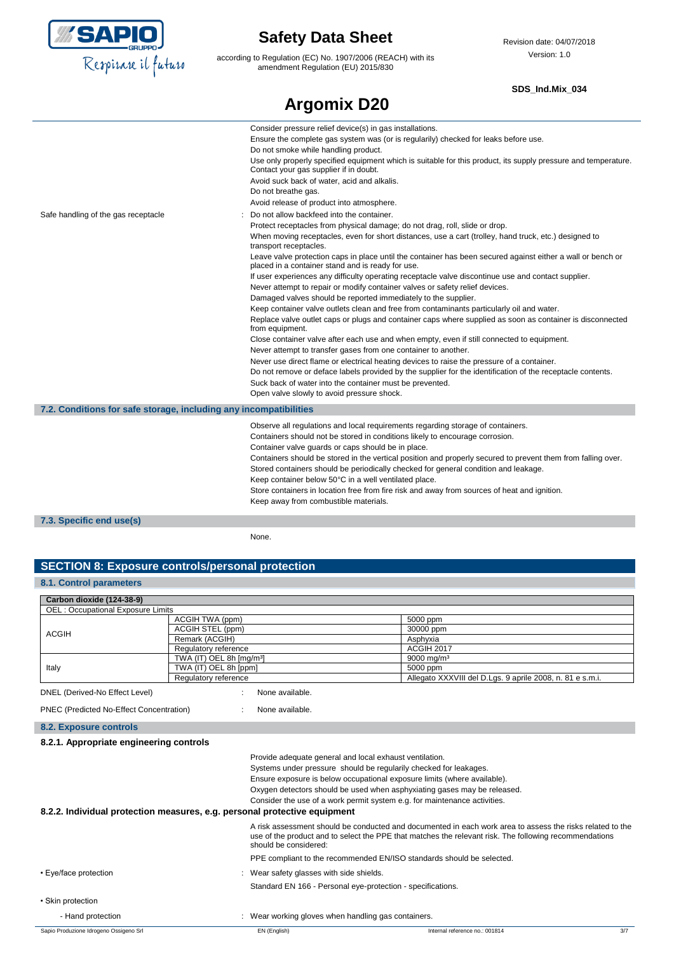

according to Regulation (EC) No. 1907/2006 (REACH) with its amendment Regulation (EU) 2015/830

### **SDS\_Ind.Mix\_034**

|                                                                   | <b>Argomix D20</b>                                                                                                                                                                                                                                                                                                                                                                                                                                                                                                                                                                                                                                                                                                                                                                                                                                                                                                                                                                                                                                                                                                                                                                                                                                                                                                                                             |
|-------------------------------------------------------------------|----------------------------------------------------------------------------------------------------------------------------------------------------------------------------------------------------------------------------------------------------------------------------------------------------------------------------------------------------------------------------------------------------------------------------------------------------------------------------------------------------------------------------------------------------------------------------------------------------------------------------------------------------------------------------------------------------------------------------------------------------------------------------------------------------------------------------------------------------------------------------------------------------------------------------------------------------------------------------------------------------------------------------------------------------------------------------------------------------------------------------------------------------------------------------------------------------------------------------------------------------------------------------------------------------------------------------------------------------------------|
|                                                                   | Consider pressure relief device(s) in gas installations.<br>Ensure the complete gas system was (or is regularily) checked for leaks before use.<br>Do not smoke while handling product.<br>Use only properly specified equipment which is suitable for this product, its supply pressure and temperature.<br>Contact your gas supplier if in doubt.<br>Avoid suck back of water, acid and alkalis.<br>Do not breathe gas.                                                                                                                                                                                                                                                                                                                                                                                                                                                                                                                                                                                                                                                                                                                                                                                                                                                                                                                                      |
| Safe handling of the gas receptacle                               | Avoid release of product into atmosphere.<br>Do not allow backfeed into the container.                                                                                                                                                                                                                                                                                                                                                                                                                                                                                                                                                                                                                                                                                                                                                                                                                                                                                                                                                                                                                                                                                                                                                                                                                                                                         |
|                                                                   | Protect receptacles from physical damage; do not drag, roll, slide or drop.<br>When moving receptacles, even for short distances, use a cart (trolley, hand truck, etc.) designed to<br>transport receptacles.<br>Leave valve protection caps in place until the container has been secured against either a wall or bench or<br>placed in a container stand and is ready for use.<br>If user experiences any difficulty operating receptacle valve discontinue use and contact supplier.<br>Never attempt to repair or modify container valves or safety relief devices.<br>Damaged valves should be reported immediately to the supplier.<br>Keep container valve outlets clean and free from contaminants particularly oil and water.<br>Replace valve outlet caps or plugs and container caps where supplied as soon as container is disconnected<br>from equipment.<br>Close container valve after each use and when empty, even if still connected to equipment.<br>Never attempt to transfer gases from one container to another.<br>Never use direct flame or electrical heating devices to raise the pressure of a container.<br>Do not remove or deface labels provided by the supplier for the identification of the receptacle contents.<br>Suck back of water into the container must be prevented.<br>Open valve slowly to avoid pressure shock. |
| 7.2. Conditions for safe storage, including any incompatibilities |                                                                                                                                                                                                                                                                                                                                                                                                                                                                                                                                                                                                                                                                                                                                                                                                                                                                                                                                                                                                                                                                                                                                                                                                                                                                                                                                                                |
|                                                                   | Observe all regulations and local requirements regarding storage of containers.<br>Containers should not be stored in conditions likely to encourage corrosion.<br>Container valve guards or caps should be in place.<br>Containers should be stored in the vertical position and properly secured to prevent them from falling over.<br>Stored containers should be periodically checked for general condition and leakage.<br>Keep container below 50°C in a well ventilated place.<br>Store containers in location free from fire risk and away from sources of heat and ignition.<br>Keep away from combustible materials.                                                                                                                                                                                                                                                                                                                                                                                                                                                                                                                                                                                                                                                                                                                                 |
| 7.3. Specific end use(s)                                          |                                                                                                                                                                                                                                                                                                                                                                                                                                                                                                                                                                                                                                                                                                                                                                                                                                                                                                                                                                                                                                                                                                                                                                                                                                                                                                                                                                |

None.

### **SECTION 8: Exposure controls/personal protection**

### **8.1. Control parameters**

| Carbon dioxide (124-38-9)                |                                      |                                                           |
|------------------------------------------|--------------------------------------|-----------------------------------------------------------|
| <b>OEL: Occupational Exposure Limits</b> |                                      |                                                           |
|                                          | ACGIH TWA (ppm)                      | 5000 ppm                                                  |
|                                          | ACGIH STEL (ppm)                     | 30000 ppm                                                 |
| <b>ACGIH</b>                             | Remark (ACGIH)                       | Asphyxia                                                  |
|                                          | Regulatory reference                 | <b>ACGIH 2017</b>                                         |
| Italy                                    | TWA (IT) OEL 8h [mg/m <sup>3</sup> ] | 9000 mg/m <sup>3</sup>                                    |
|                                          | TWA (IT) OEL 8h [ppm]                | 5000 ppm                                                  |
|                                          | Regulatory reference                 | Allegato XXXVIII del D.Lgs. 9 aprile 2008, n. 81 e s.m.i. |

```
PNEC (Predicted No-Effect Concentration) : None available.
```
**8.2. Exposure controls**

| 8.2.1. Appropriate engineering controls                                   |                                                                                                                                                                                                                                              |  |
|---------------------------------------------------------------------------|----------------------------------------------------------------------------------------------------------------------------------------------------------------------------------------------------------------------------------------------|--|
|                                                                           | Provide adequate general and local exhaust ventilation.                                                                                                                                                                                      |  |
|                                                                           | Systems under pressure should be regularily checked for leakages.                                                                                                                                                                            |  |
|                                                                           | Ensure exposure is below occupational exposure limits (where available).                                                                                                                                                                     |  |
|                                                                           | Oxygen detectors should be used when asphyxiating gases may be released.                                                                                                                                                                     |  |
|                                                                           | Consider the use of a work permit system e.g. for maintenance activities.                                                                                                                                                                    |  |
| 8.2.2. Individual protection measures, e.g. personal protective equipment |                                                                                                                                                                                                                                              |  |
|                                                                           | A risk assessment should be conducted and documented in each work area to assess the risks related to the<br>use of the product and to select the PPE that matches the relevant risk. The following recommendations<br>should be considered: |  |
|                                                                           | PPE compliant to the recommended EN/ISO standards should be selected.                                                                                                                                                                        |  |
| • Eye/face protection                                                     | : Wear safety glasses with side shields.                                                                                                                                                                                                     |  |
|                                                                           | Standard EN 166 - Personal eye-protection - specifications.                                                                                                                                                                                  |  |
| • Skin protection                                                         |                                                                                                                                                                                                                                              |  |
| - Hand protection                                                         | : Wear working gloves when handling gas containers.                                                                                                                                                                                          |  |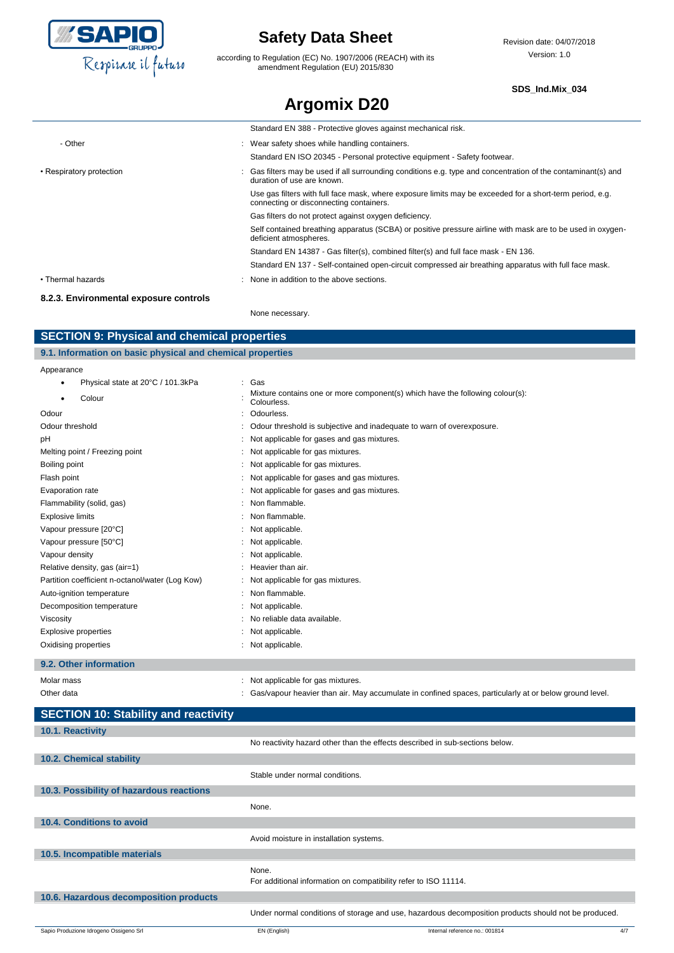

according to Regulation (EC) No. 1907/2006 (REACH) with its amendment Regulation (EU) 2015/830

Revision date: 04/07/2018 Version: 1.0

#### **SDS\_Ind.Mix\_034**

| <b>Argomix D20</b>                     |  |                                                                                                                                                     |
|----------------------------------------|--|-----------------------------------------------------------------------------------------------------------------------------------------------------|
|                                        |  | Standard EN 388 - Protective gloves against mechanical risk.                                                                                        |
| - Other                                |  | : Wear safety shoes while handling containers.                                                                                                      |
|                                        |  | Standard EN ISO 20345 - Personal protective equipment - Safety footwear.                                                                            |
| • Respiratory protection               |  | : Gas filters may be used if all surrounding conditions e.g. type and concentration of the contaminant(s) and<br>duration of use are known.         |
|                                        |  | Use gas filters with full face mask, where exposure limits may be exceeded for a short-term period, e.g.<br>connecting or disconnecting containers. |
|                                        |  | Gas filters do not protect against oxygen deficiency.                                                                                               |
|                                        |  | Self contained breathing apparatus (SCBA) or positive pressure airline with mask are to be used in oxygen-<br>deficient atmospheres.                |
|                                        |  | Standard EN 14387 - Gas filter(s), combined filter(s) and full face mask - EN 136.                                                                  |
|                                        |  | Standard EN 137 - Self-contained open-circuit compressed air breathing apparatus with full face mask.                                               |
| • Thermal hazards                      |  | : None in addition to the above sections.                                                                                                           |
| 8.2.3. Environmental exposure controls |  |                                                                                                                                                     |

None necessary.

### **SECTION 9: Physical and chemical properties**

| 9.1. Information on basic physical and chemical properties |     |  |  |  |
|------------------------------------------------------------|-----|--|--|--|
| Appearance                                                 |     |  |  |  |
| Physical state at 20°C / 101.3kPa                          | Gas |  |  |  |

| Colour                                          | Mixture contains one or more component(s) which have the following colour(s):<br>Colourless. |
|-------------------------------------------------|----------------------------------------------------------------------------------------------|
| Odour                                           | Odourless.                                                                                   |
| Odour threshold                                 | Odour threshold is subjective and inadequate to warn of overexposure.                        |
| pH                                              | Not applicable for gases and gas mixtures.                                                   |
| Melting point / Freezing point                  | Not applicable for gas mixtures.                                                             |
| Boiling point                                   | Not applicable for gas mixtures.                                                             |
| Flash point                                     | Not applicable for gases and gas mixtures.                                                   |
| Evaporation rate                                | Not applicable for gases and gas mixtures.                                                   |
| Flammability (solid, gas)                       | Non flammable.                                                                               |
| <b>Explosive limits</b>                         | Non flammable.                                                                               |
| Vapour pressure [20°C]                          | Not applicable.                                                                              |
| Vapour pressure [50°C]                          | : Not applicable.                                                                            |
| Vapour density                                  | Not applicable.                                                                              |
| Relative density, gas (air=1)                   | Heavier than air.                                                                            |
| Partition coefficient n-octanol/water (Log Kow) | : Not applicable for gas mixtures.                                                           |
| Auto-ignition temperature                       | Non flammable.                                                                               |
| Decomposition temperature                       | : Not applicable.                                                                            |
| Viscosity                                       | No reliable data available.                                                                  |
| <b>Explosive properties</b>                     | Not applicable.                                                                              |
| Oxidising properties                            | Not applicable.                                                                              |

### **9.2. Other information**

| Molar mass | Not applicable for gas mixtures.                                                                       |
|------------|--------------------------------------------------------------------------------------------------------|
| Other data | Gas/vapour heavier than air. May accumulate in confined spaces, particularly at or below ground level. |

| <b>SECTION 10: Stability and reactivity</b> |                                         |                                                                                                      |     |
|---------------------------------------------|-----------------------------------------|------------------------------------------------------------------------------------------------------|-----|
| 10.1. Reactivity                            |                                         |                                                                                                      |     |
|                                             |                                         | No reactivity hazard other than the effects described in sub-sections below.                         |     |
| 10.2. Chemical stability                    |                                         |                                                                                                      |     |
|                                             | Stable under normal conditions.         |                                                                                                      |     |
| 10.3. Possibility of hazardous reactions    |                                         |                                                                                                      |     |
|                                             | None.                                   |                                                                                                      |     |
| 10.4. Conditions to avoid                   |                                         |                                                                                                      |     |
|                                             | Avoid moisture in installation systems. |                                                                                                      |     |
| 10.5. Incompatible materials                |                                         |                                                                                                      |     |
|                                             | None.                                   | For additional information on compatibility refer to ISO 11114.                                      |     |
| 10.6. Hazardous decomposition products      |                                         |                                                                                                      |     |
|                                             |                                         | Under normal conditions of storage and use, hazardous decomposition products should not be produced. |     |
| Sapio Produzione Idrogeno Ossigeno Srl      | EN (English)                            | Internal reference no.: 001814                                                                       | 4/7 |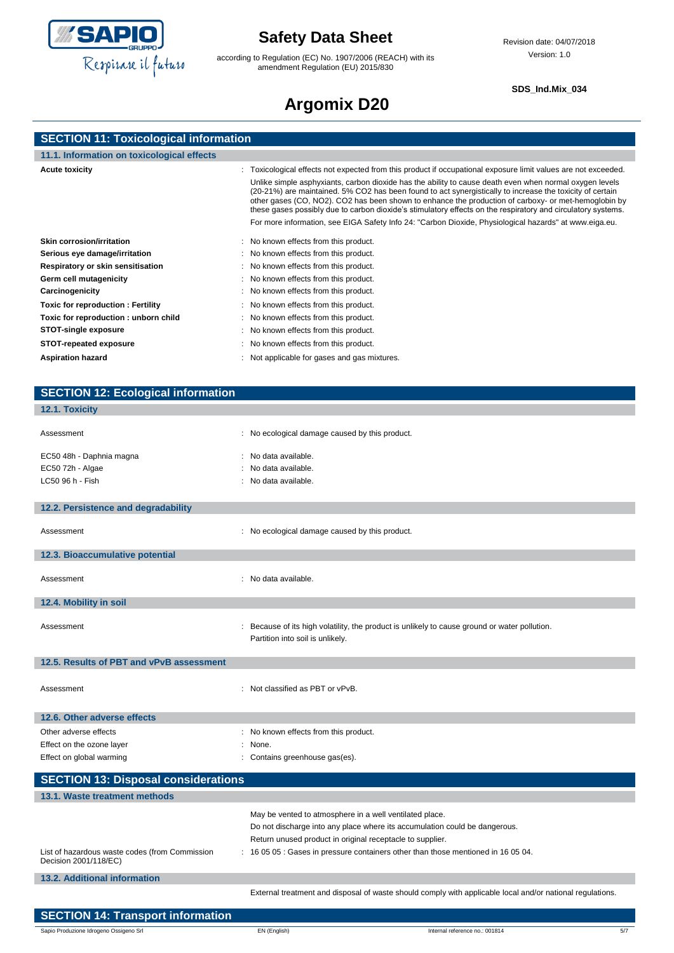

according to Regulation (EC) No. 1907/2006 (REACH) with its amendment Regulation (EU) 2015/830

#### **SDS\_Ind.Mix\_034**

# **Argomix D20**

| <b>SECTION 11: Toxicological information</b> |  |  |  |
|----------------------------------------------|--|--|--|
|                                              |  |  |  |

| 11.1. Information on toxicological effects |                                                                                                                                                                                                                                                                                                                                                                                                                                              |
|--------------------------------------------|----------------------------------------------------------------------------------------------------------------------------------------------------------------------------------------------------------------------------------------------------------------------------------------------------------------------------------------------------------------------------------------------------------------------------------------------|
|                                            |                                                                                                                                                                                                                                                                                                                                                                                                                                              |
| <b>Acute toxicity</b>                      | : Toxicological effects not expected from this product if occupational exposure limit values are not exceeded.                                                                                                                                                                                                                                                                                                                               |
|                                            | Unlike simple asphyxiants, carbon dioxide has the ability to cause death even when normal oxygen levels<br>(20-21%) are maintained. 5% CO2 has been found to act synergistically to increase the toxicity of certain<br>other gases (CO, NO2). CO2 has been shown to enhance the production of carboxy- or met-hemoglobin by<br>these gases possibly due to carbon dioxide's stimulatory effects on the respiratory and circulatory systems. |
|                                            | For more information, see EIGA Safety Info 24: "Carbon Dioxide, Physiological hazards" at www.eiga.eu.                                                                                                                                                                                                                                                                                                                                       |
| Skin corrosion/irritation                  | : No known effects from this product.                                                                                                                                                                                                                                                                                                                                                                                                        |
| Serious eye damage/irritation              | : No known effects from this product.                                                                                                                                                                                                                                                                                                                                                                                                        |
| Respiratory or skin sensitisation          | : No known effects from this product.                                                                                                                                                                                                                                                                                                                                                                                                        |
| Germ cell mutagenicity                     | : No known effects from this product.                                                                                                                                                                                                                                                                                                                                                                                                        |
| Carcinogenicity                            | : No known effects from this product.                                                                                                                                                                                                                                                                                                                                                                                                        |
| <b>Toxic for reproduction: Fertility</b>   | : No known effects from this product.                                                                                                                                                                                                                                                                                                                                                                                                        |
| Toxic for reproduction: unborn child       | : No known effects from this product.                                                                                                                                                                                                                                                                                                                                                                                                        |
| <b>STOT-single exposure</b>                | : No known effects from this product.                                                                                                                                                                                                                                                                                                                                                                                                        |
| <b>STOT-repeated exposure</b>              | : No known effects from this product.                                                                                                                                                                                                                                                                                                                                                                                                        |
| <b>Aspiration hazard</b>                   | : Not applicable for gases and gas mixtures.                                                                                                                                                                                                                                                                                                                                                                                                 |
|                                            |                                                                                                                                                                                                                                                                                                                                                                                                                                              |

| <b>SECTION 12: Ecological information</b>                               |                                                                                                                                                                                                                                                                                         |
|-------------------------------------------------------------------------|-----------------------------------------------------------------------------------------------------------------------------------------------------------------------------------------------------------------------------------------------------------------------------------------|
| 12.1. Toxicity                                                          |                                                                                                                                                                                                                                                                                         |
| Assessment                                                              | : No ecological damage caused by this product.                                                                                                                                                                                                                                          |
| EC50 48h - Daphnia magna<br>EC50 72h - Algae<br>LC50 96 h - Fish        | : No data available.<br>No data available.<br>: No data available.                                                                                                                                                                                                                      |
| 12.2. Persistence and degradability                                     |                                                                                                                                                                                                                                                                                         |
| Assessment                                                              | : No ecological damage caused by this product.                                                                                                                                                                                                                                          |
| 12.3. Bioaccumulative potential                                         |                                                                                                                                                                                                                                                                                         |
| Assessment                                                              | : No data available.                                                                                                                                                                                                                                                                    |
| 12.4. Mobility in soil                                                  |                                                                                                                                                                                                                                                                                         |
| Assessment                                                              | : Because of its high volatility, the product is unlikely to cause ground or water pollution.<br>Partition into soil is unlikely.                                                                                                                                                       |
| 12.5. Results of PBT and vPvB assessment                                |                                                                                                                                                                                                                                                                                         |
| Assessment                                                              | : Not classified as PBT or vPvB.                                                                                                                                                                                                                                                        |
| 12.6. Other adverse effects                                             |                                                                                                                                                                                                                                                                                         |
| Other adverse effects                                                   | : No known effects from this product.                                                                                                                                                                                                                                                   |
| Effect on the ozone layer<br>Effect on global warming                   | : None.<br>Contains greenhouse gas(es).                                                                                                                                                                                                                                                 |
| <b>SECTION 13: Disposal considerations</b>                              |                                                                                                                                                                                                                                                                                         |
| 13.1. Waste treatment methods                                           |                                                                                                                                                                                                                                                                                         |
| List of hazardous waste codes (from Commission<br>Decision 2001/118/EC) | May be vented to atmosphere in a well ventilated place.<br>Do not discharge into any place where its accumulation could be dangerous.<br>Return unused product in original receptacle to supplier.<br>: 16 05 05 : Gases in pressure containers other than those mentioned in 16 05 04. |
| <b>13.2. Additional information</b>                                     |                                                                                                                                                                                                                                                                                         |
|                                                                         | External treatment and disposal of waste should comply with applicable local and/or national regulations.                                                                                                                                                                               |
| <b>SECTION 14: Transport information</b>                                |                                                                                                                                                                                                                                                                                         |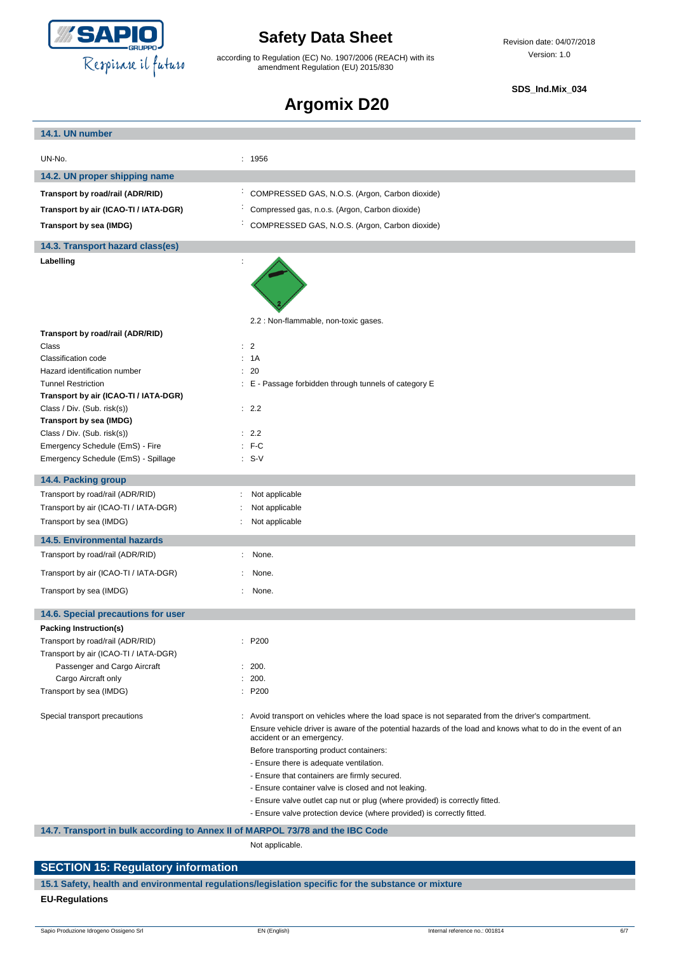

according to Regulation (EC) No. 1907/2006 (REACH) with its amendment Regulation (EU) 2015/830

### **SDS\_Ind.Mix\_034**

# **Argomix D20**

| 14.1. UN number                                                                |                                                                                                                                                                                                                                                                                                                                                                                                                                             |
|--------------------------------------------------------------------------------|---------------------------------------------------------------------------------------------------------------------------------------------------------------------------------------------------------------------------------------------------------------------------------------------------------------------------------------------------------------------------------------------------------------------------------------------|
| UN-No.                                                                         | : 1956                                                                                                                                                                                                                                                                                                                                                                                                                                      |
|                                                                                |                                                                                                                                                                                                                                                                                                                                                                                                                                             |
| 14.2. UN proper shipping name                                                  |                                                                                                                                                                                                                                                                                                                                                                                                                                             |
| Transport by road/rail (ADR/RID)                                               | COMPRESSED GAS, N.O.S. (Argon, Carbon dioxide)                                                                                                                                                                                                                                                                                                                                                                                              |
| Transport by air (ICAO-TI / IATA-DGR)                                          | Compressed gas, n.o.s. (Argon, Carbon dioxide)                                                                                                                                                                                                                                                                                                                                                                                              |
| Transport by sea (IMDG)                                                        | COMPRESSED GAS, N.O.S. (Argon, Carbon dioxide)                                                                                                                                                                                                                                                                                                                                                                                              |
| 14.3. Transport hazard class(es)                                               |                                                                                                                                                                                                                                                                                                                                                                                                                                             |
| Labelling                                                                      |                                                                                                                                                                                                                                                                                                                                                                                                                                             |
|                                                                                |                                                                                                                                                                                                                                                                                                                                                                                                                                             |
|                                                                                | 2.2 : Non-flammable, non-toxic gases.                                                                                                                                                                                                                                                                                                                                                                                                       |
| Transport by road/rail (ADR/RID)<br>Class                                      | $\therefore$ 2                                                                                                                                                                                                                                                                                                                                                                                                                              |
| Classification code                                                            | : 1A                                                                                                                                                                                                                                                                                                                                                                                                                                        |
| Hazard identification number                                                   | : 20                                                                                                                                                                                                                                                                                                                                                                                                                                        |
| <b>Tunnel Restriction</b>                                                      | : E - Passage forbidden through tunnels of category E                                                                                                                                                                                                                                                                                                                                                                                       |
| Transport by air (ICAO-TI / IATA-DGR)                                          |                                                                                                                                                                                                                                                                                                                                                                                                                                             |
| Class / Div. (Sub. risk(s))                                                    | : 2.2                                                                                                                                                                                                                                                                                                                                                                                                                                       |
| Transport by sea (IMDG)                                                        |                                                                                                                                                                                                                                                                                                                                                                                                                                             |
| Class / Div. (Sub. risk(s))                                                    | : 2.2                                                                                                                                                                                                                                                                                                                                                                                                                                       |
| Emergency Schedule (EmS) - Fire                                                | $:$ F-C                                                                                                                                                                                                                                                                                                                                                                                                                                     |
| Emergency Schedule (EmS) - Spillage                                            | $: S-V$                                                                                                                                                                                                                                                                                                                                                                                                                                     |
| 14.4. Packing group                                                            |                                                                                                                                                                                                                                                                                                                                                                                                                                             |
| Transport by road/rail (ADR/RID)                                               | Not applicable                                                                                                                                                                                                                                                                                                                                                                                                                              |
| Transport by air (ICAO-TI / IATA-DGR)                                          | Not applicable                                                                                                                                                                                                                                                                                                                                                                                                                              |
| Transport by sea (IMDG)                                                        | Not applicable                                                                                                                                                                                                                                                                                                                                                                                                                              |
| <b>14.5. Environmental hazards</b>                                             |                                                                                                                                                                                                                                                                                                                                                                                                                                             |
| Transport by road/rail (ADR/RID)                                               | None.                                                                                                                                                                                                                                                                                                                                                                                                                                       |
| Transport by air (ICAO-TI / IATA-DGR)                                          | None.                                                                                                                                                                                                                                                                                                                                                                                                                                       |
| Transport by sea (IMDG)                                                        | None.                                                                                                                                                                                                                                                                                                                                                                                                                                       |
| 14.6. Special precautions for user                                             |                                                                                                                                                                                                                                                                                                                                                                                                                                             |
| <b>Packing Instruction(s)</b>                                                  |                                                                                                                                                                                                                                                                                                                                                                                                                                             |
| Transport by road/rail (ADR/RID)                                               | : P200                                                                                                                                                                                                                                                                                                                                                                                                                                      |
| Transport by air (ICAO-TI / IATA-DGR)                                          |                                                                                                                                                                                                                                                                                                                                                                                                                                             |
| Passenger and Cargo Aircraft                                                   | : 200.                                                                                                                                                                                                                                                                                                                                                                                                                                      |
| Cargo Aircraft only                                                            | 200.                                                                                                                                                                                                                                                                                                                                                                                                                                        |
| Transport by sea (IMDG)                                                        | : P200                                                                                                                                                                                                                                                                                                                                                                                                                                      |
| Special transport precautions                                                  | : Avoid transport on vehicles where the load space is not separated from the driver's compartment.<br>Ensure vehicle driver is aware of the potential hazards of the load and knows what to do in the event of an<br>accident or an emergency.<br>Before transporting product containers:<br>- Ensure there is adequate ventilation.<br>- Ensure that containers are firmly secured.<br>- Ensure container valve is closed and not leaking. |
|                                                                                | - Ensure valve outlet cap nut or plug (where provided) is correctly fitted.                                                                                                                                                                                                                                                                                                                                                                 |
|                                                                                | - Ensure valve protection device (where provided) is correctly fitted.                                                                                                                                                                                                                                                                                                                                                                      |
| 14.7. Transport in bulk according to Annex II of MARPOL 73/78 and the IBC Code |                                                                                                                                                                                                                                                                                                                                                                                                                                             |

Not applicable.

# **SECTION 15: Regulatory information**

**15.1 Safety, health and environmental regulations/legislation specific for the substance or mixture EU-Regulations**